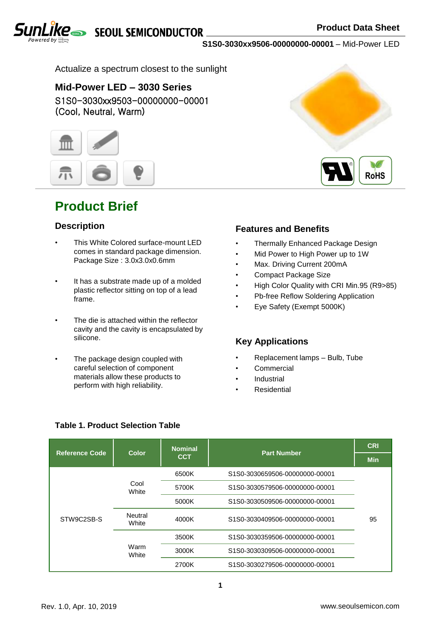**SEQUL SEMICONDUCTOR** 

**RoHS**



**S1S0-3030xx9506-00000000-00001** – Mid-Power LED

Actualize a spectrum closest to the sunlight

### S1S0-3030xx9503-00000000-00001 (Cool, Neutral, Warm) **Mid-Power LED – 3030 Series**



## **Product Brief**

### **Description**

- This White Colored surface-mount LED comes in standard package dimension. Package Size : 3.0x3.0x0.6mm
- It has a substrate made up of a molded plastic reflector sitting on top of a lead frame.
- The die is attached within the reflector cavity and the cavity is encapsulated by silicone.
- The package design coupled with careful selection of component materials allow these products to perform with high reliability.

### **Features and Benefits**

- Thermally Enhanced Package Design
- Mid Power to High Power up to 1W
- Max. Driving Current 200mA
- Compact Package Size
- High Color Quality with CRI Min.95 (R9>85)
- Pb-free Reflow Soldering Application
- Eye Safety (Exempt 5000K)

### **Key Applications**

- Replacement lamps Bulb, Tube
- **Commercial**
- **Industrial**
- **Residential**

| <b>Reference Code</b> | Color            | <b>Nominal</b>                            | <b>Part Number</b>               | <b>CRI</b> |
|-----------------------|------------------|-------------------------------------------|----------------------------------|------------|
|                       |                  | <b>CCT</b>                                |                                  | <b>Min</b> |
|                       |                  | 6500K                                     | \$1\$0-3030659506-00000000-00001 |            |
| STW9C2SB-S            | Cool<br>White    | 5700K<br>\$1\$0-3030579506-00000000-00001 |                                  |            |
|                       |                  | 5000K                                     | S1S0-3030509506-00000000-00001   |            |
|                       | Neutral<br>White | 4000K                                     | \$1\$0-3030409506-00000000-00001 | 95         |
|                       | Warm<br>White    | 3500K                                     | \$1\$0-3030359506-00000000-00001 |            |
|                       |                  | 3000K                                     | \$1\$0-3030309506-00000000-00001 |            |
|                       |                  | 2700K                                     | \$1\$0-3030279506-00000000-00001 |            |

### **Table 1. Product Selection Table**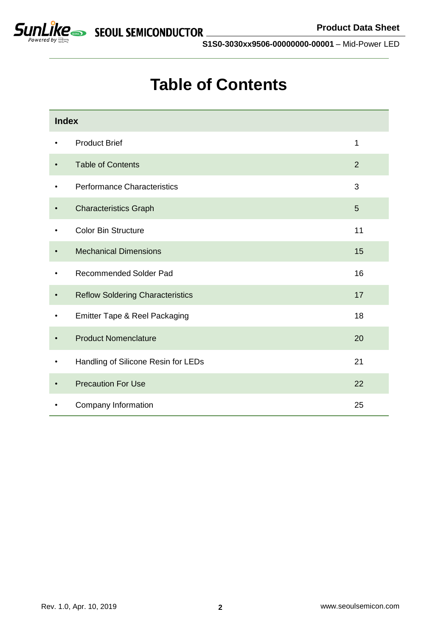

# **Table of Contents**

| <b>Index</b> |                                         |                |
|--------------|-----------------------------------------|----------------|
| $\bullet$    | <b>Product Brief</b>                    | 1              |
|              | <b>Table of Contents</b>                | $\overline{2}$ |
| ٠            | Performance Characteristics             | 3              |
| $\bullet$    | <b>Characteristics Graph</b>            | 5              |
|              | <b>Color Bin Structure</b>              | 11             |
| $\bullet$    | <b>Mechanical Dimensions</b>            | 15             |
|              | <b>Recommended Solder Pad</b>           | 16             |
| $\bullet$    | <b>Reflow Soldering Characteristics</b> | 17             |
| $\bullet$    | Emitter Tape & Reel Packaging           | 18             |
|              | <b>Product Nomenclature</b>             | 20             |
|              | Handling of Silicone Resin for LEDs     | 21             |
|              | <b>Precaution For Use</b>               | 22             |
|              | Company Information                     | 25             |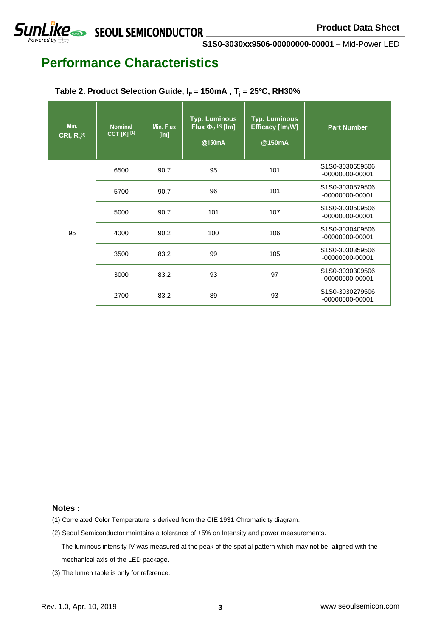**SUNLIKE** SEQUL SEMICONDUCTOR

**S1S0-3030xx9506-00000000-00001** – Mid-Power LED

## **Performance Characteristics**

### **Table 2. Product Selection Guide,**  $I_F$  **= 150mA,**  $T_j$  **= 25°C, RH30%**

| Min.<br>$CRI, R_a^{[4]}$ | <b>Nominal</b><br><b>CCT [K] [1]</b> | Min. Flux<br>[Im] | <b>Typ. Luminous</b><br>Flux $\Phi_{V}$ <sup>[3]</sup> [lm]<br>@150mA | <b>Typ. Luminous</b><br><b>Efficacy [Im/W]</b><br>@150mA | <b>Part Number</b>                     |
|--------------------------|--------------------------------------|-------------------|-----------------------------------------------------------------------|----------------------------------------------------------|----------------------------------------|
| 95                       | 6500                                 | 90.7              | 95                                                                    | 101                                                      | S1S0-3030659506<br>$-00000000 - 00001$ |
|                          | 5700                                 | 90.7              | 96                                                                    | 101                                                      | S1S0-3030579506<br>$-00000000 - 00001$ |
|                          | 5000                                 | 90.7              | 101                                                                   | 107                                                      | S1S0-3030509506<br>$-00000000 - 00001$ |
|                          | 4000                                 | 90.2              | 100                                                                   | 106                                                      | S1S0-3030409506<br>$-00000000 - 00001$ |
|                          | 3500                                 | 83.2              | 99                                                                    | 105                                                      | S1S0-3030359506<br>$-00000000 - 00001$ |
|                          | 3000                                 | 83.2              | 93                                                                    | 97                                                       | S1S0-3030309506<br>$-00000000 - 00001$ |
|                          | 2700                                 | 83.2              | 89                                                                    | 93                                                       | S1S0-3030279506<br>$-00000000 - 00001$ |

#### **Notes :**

(1) Correlated Color Temperature is derived from the CIE 1931 Chromaticity diagram.

(2) Seoul Semiconductor maintains a tolerance of  $\pm 5%$  on Intensity and power measurements.

The luminous intensity IV was measured at the peak of the spatial pattern which may not be aligned with the mechanical axis of the LED package.

(3) The lumen table is only for reference.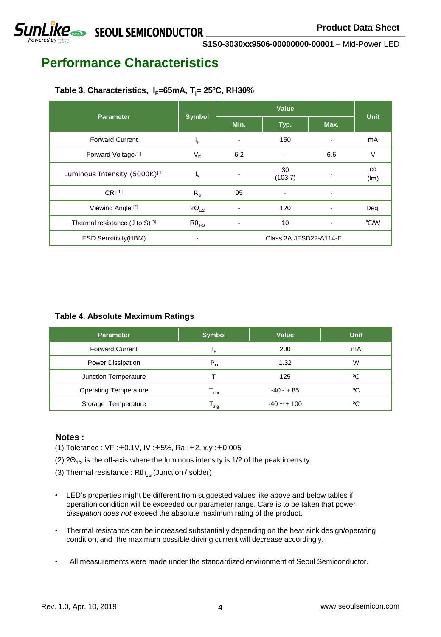## **SUNLIKE** SEOUL SEMICONDUCTOR

**S1S0-3030xx9506-00000000-00001** – Mid-Power LED

## **Performance Characteristics**

### **Table 3. Characteristics, IF=65mA, Tj= 25ºC, RH30%**

| <b>Parameter</b>                             | <b>Symbol</b>   |      | <b>Unit</b>            |                              |               |
|----------------------------------------------|-----------------|------|------------------------|------------------------------|---------------|
|                                              |                 | Min. | Typ.                   | Max.                         |               |
| <b>Forward Current</b>                       | $I_F$           |      | 150                    |                              | mA            |
| Forward Voltage <sup>[1]</sup>               | $V_F$           | 6.2  | $\blacksquare$         | 6.6                          | V             |
| Luminous Intensity (5000K)[1]                | $I_{\rm v}$     |      | 30<br>(103.7)          |                              | cd<br>(lm)    |
| $CRI^{[1]}$                                  | $R_a$           | 95   | $\blacksquare$         | ۰                            |               |
| Viewing Angle [2]                            | $2\Theta_{1/2}$ |      | 120                    | $\qquad \qquad \blacksquare$ | Deg.          |
| Thermal resistance $(J \text{ to } S)^{[3]}$ | $R\theta_{J-S}$ |      | 10                     | -                            | $\degree$ C/W |
| <b>ESD Sensitivity(HBM)</b>                  |                 |      | Class 3A JESD22-A114-E |                              |               |

### **Table 4. Absolute Maximum Ratings**

| <b>Parameter</b>             | <b>Symbol</b> | <b>Value</b>  | <b>Unit</b> |
|------------------------------|---------------|---------------|-------------|
| <b>Forward Current</b>       | ΙF            | 200           | mA          |
| Power Dissipation            | $P_D$         | 1.32          | W           |
| Junction Temperature         |               | 125           | °C          |
| <b>Operating Temperature</b> | opr           | $-40 - +85$   | °C          |
| Storage Temperature          | stq           | $-40 - + 100$ | ٥C          |

### **Notes :**

- (1) Tolerance : VF :±0.1V, IV :±5%, Ra :±2, x,y :±0.005
- (2)  $2\Theta_{1/2}$  is the off-axis where the luminous intensity is 1/2 of the peak intensity.
- (3) Thermal resistance :  $Rth_{JS}$  (Junction / solder)
- LED's properties might be different from suggested values like above and below tables if operation condition will be exceeded our parameter range. Care is to be taken that power *dissipation does not* exceed the absolute maximum rating of the product.
- Thermal resistance can be increased substantially depending on the heat sink design/operating condition, and the maximum possible driving current will decrease accordingly.
- All measurements were made under the standardized environment of Seoul Semiconductor.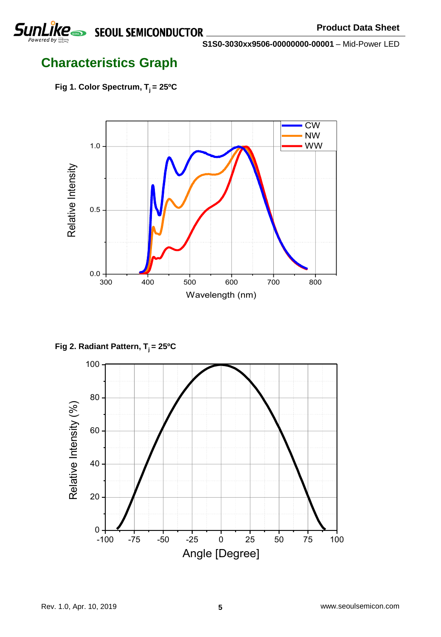

## **Characteristics Graph**

**Fig 1. Color Spectrum, T<sup>j</sup> = 25ºC**



**Fig 2. Radiant Pattern, T<sup>j</sup> = 25ºC**

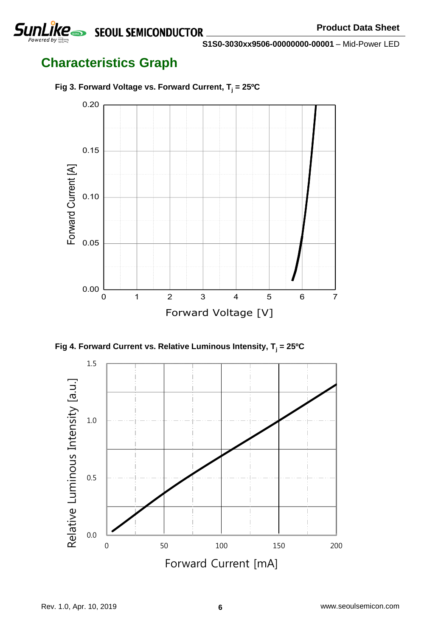

## **Characteristics Graph**



**Fig 3. Forward Voltage vs. Forward Current, T<sup>j</sup> = 25ºC**



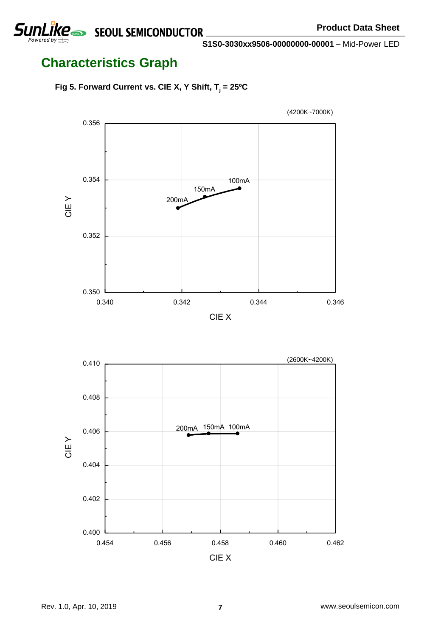



# **Characteristics Graph**

**Fig 5. Forward Current vs. CIE X, Y Shift, T<sup>j</sup> = 25ºC**

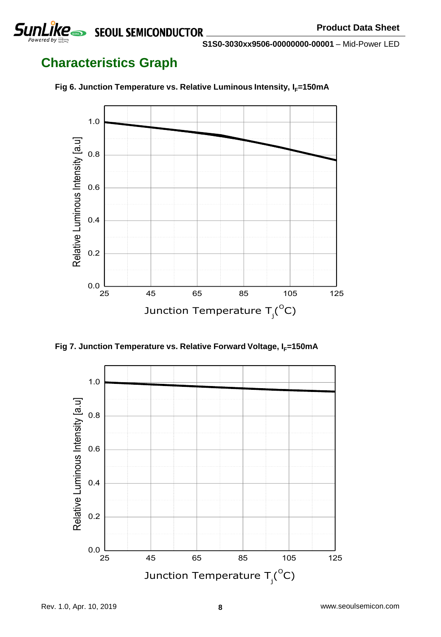

## **Characteristics Graph**



**Fig 6. Junction Temperature vs. Relative Luminous Intensity, I<sub>F</sub>=150mA** 

**Fig 7. Junction Temperature vs. Relative Forward Voltage, I<sub>F</sub>=150mA** 

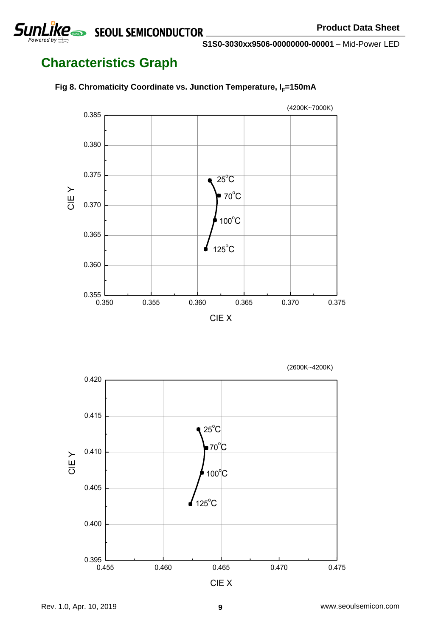SEOUL SEMICONDUCTOR

**S1S0-3030xx9506-00000000-00001** – Mid-Power LED

# **Characteristics Graph**

SunLïke





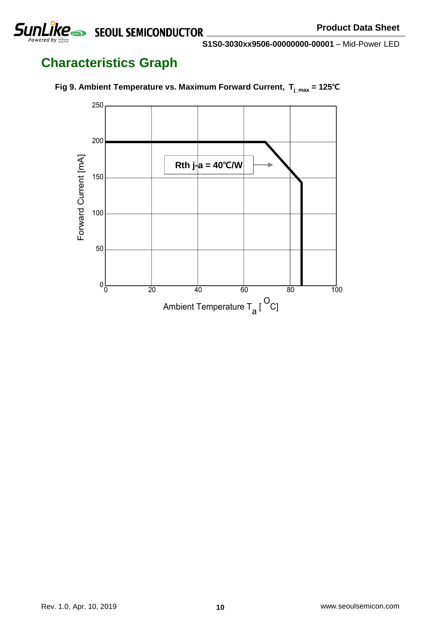



## **Characteristics Graph**

**SunLike** 



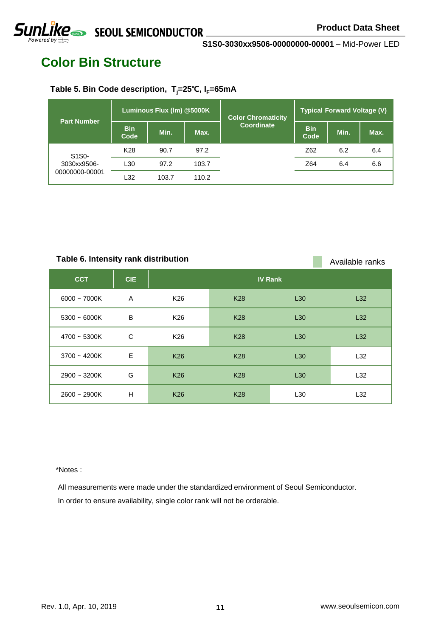## **Color Bin Structure**

### **Table 5. Bin Code description, Tj=25**℃**, IF=65mA**

| <b>Part Number</b>                                               | Luminous Flux (Im) @5000K |       |       | <b>Color Chromaticity</b> | <b>Typical Forward Voltage (V)</b> |      |      |  |
|------------------------------------------------------------------|---------------------------|-------|-------|---------------------------|------------------------------------|------|------|--|
|                                                                  | <b>Bin</b><br>Code        | Min.  | Max.  | Coordinate                | <b>Bin</b><br>Code                 | Min. | Max. |  |
| S <sub>1</sub> S <sub>0</sub> -<br>3030xx9506-<br>00000000-00001 | K <sub>28</sub>           | 90.7  | 97.2  |                           | Z62                                | 6.2  | 6.4  |  |
|                                                                  | L30                       | 97.2  | 103.7 |                           | Z64                                | 6.4  | 6.6  |  |
|                                                                  | L32                       | 103.7 | 110.2 |                           |                                    |      |      |  |

### Table 6. Intensity rank distribution **Available ranks** Available ranks

| <b>CCT</b>     | <b>CIE</b> |                 |            | <b>IV Rank</b>  |     |
|----------------|------------|-----------------|------------|-----------------|-----|
| $6000 - 7000K$ | A          | K <sub>26</sub> | <b>K28</b> | L30             | L32 |
| $5300 - 6000K$ | B          | K <sub>26</sub> | <b>K28</b> | L30             | L32 |
| $4700 - 5300K$ | C          | K26             | <b>K28</b> | L30             | L32 |
| $3700 - 4200K$ | E          | <b>K26</b>      | <b>K28</b> | L30             | L32 |
| $2900 - 3200K$ | G          | <b>K26</b>      | <b>K28</b> | L30             | L32 |
| $2600 - 2900K$ | H          | <b>K26</b>      | <b>K28</b> | L <sub>30</sub> | L32 |

\*Notes :

All measurements were made under the standardized environment of Seoul Semiconductor. In order to ensure availability, single color rank will not be orderable.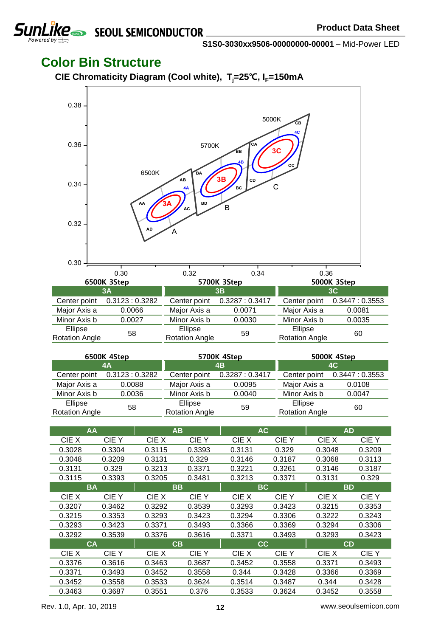

### **Color Bin Structure**

**CIE Chromaticity Diagram (Cool white), Tj=25**℃**, IF=150mA**



| 6500K 4Step                      |               |                                  | 5700K 4Step                 | 5000K 4Step                      |               |  |
|----------------------------------|---------------|----------------------------------|-----------------------------|----------------------------------|---------------|--|
| 4A                               |               |                                  | 4B                          | 4C                               |               |  |
| Center point                     | 0.3123:0.3282 |                                  | Center point 0.3287: 0.3417 | Center point                     | 0.3447:0.3553 |  |
| Major Axis a                     | 0.0088        | Major Axis a                     | 0.0095                      | Major Axis a                     | 0.0108        |  |
| Minor Axis b                     | 0.0036        | Minor Axis b                     | 0.0040                      | Minor Axis b                     | 0.0047        |  |
| Ellipse<br><b>Rotation Angle</b> | 58            | Ellipse<br><b>Rotation Angle</b> | 59                          | Ellipse<br><b>Rotation Angle</b> | 60            |  |

| AA        |           |        | AB     |        | <b>AC</b> |           | <b>AD</b> |
|-----------|-----------|--------|--------|--------|-----------|-----------|-----------|
| CIE X     | CIE Y     | CIE X  | CIE Y  | CIE X  | CIE Y     | CIE X     | CIE Y     |
| 0.3028    | 0.3304    | 0.3115 | 0.3393 | 0.3131 | 0.329     | 0.3048    | 0.3209    |
| 0.3048    | 0.3209    | 0.3131 | 0.329  | 0.3146 | 0.3187    | 0.3068    | 0.3113    |
| 0.3131    | 0.329     | 0.3213 | 0.3371 | 0.3221 | 0.3261    | 0.3146    | 0.3187    |
| 0.3115    | 0.3393    | 0.3205 | 0.3481 | 0.3213 | 0.3371    | 0.3131    | 0.329     |
| <b>BA</b> |           |        | BB     |        | ВC        | <b>BD</b> |           |
| CIE X     | CIE Y     | CIE X  | CIE Y  | CIE X  | CIE Y     | CIE X     | CIE Y     |
| 0.3207    | 0.3462    | 0.3292 | 0.3539 | 0.3293 | 0.3423    | 0.3215    | 0.3353    |
| 0.3215    | 0.3353    | 0.3293 | 0.3423 | 0.3294 | 0.3306    | 0.3222    | 0.3243    |
| 0.3293    | 0.3423    | 0.3371 | 0.3493 | 0.3366 | 0.3369    | 0.3294    | 0.3306    |
| 0.3292    | 0.3539    | 0.3376 | 0.3616 | 0.3371 | 0.3493    | 0.3293    | 0.3423    |
|           | <b>CA</b> |        | CВ     |        | CC.       | <b>CD</b> |           |
| CIE X     | CIE Y     | CIE X  | CIE Y  | CIE X  | CIE Y     | CIE X     | CIE Y     |
| 0.3376    | 0.3616    | 0.3463 | 0.3687 | 0.3452 | 0.3558    | 0.3371    | 0.3493    |
| 0.3371    | 0.3493    | 0.3452 | 0.3558 | 0.344  | 0.3428    | 0.3366    | 0.3369    |
| 0.3452    | 0.3558    | 0.3533 | 0.3624 | 0.3514 | 0.3487    | 0.344     | 0.3428    |
| 0.3463    | 0.3687    | 0.3551 | 0.376  | 0.3533 | 0.3624    | 0.3452    | 0.3558    |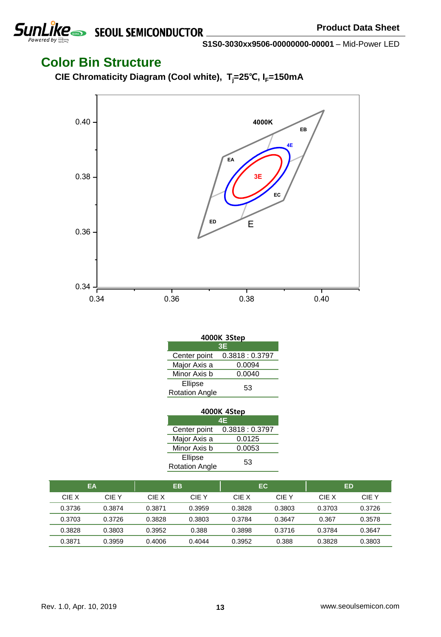

### **Color Bin Structure**

**CIE Chromaticity Diagram (Cool white), Tj=25**℃**, IF=150mA**



| 4000K 3Step           |               |  |  |  |  |  |
|-----------------------|---------------|--|--|--|--|--|
| 3E                    |               |  |  |  |  |  |
| Center point          | 0.3818:0.3797 |  |  |  |  |  |
| Major Axis a          | 0.0094        |  |  |  |  |  |
| Minor Axis b          | 0.0040        |  |  |  |  |  |
| Ellipse               | 53            |  |  |  |  |  |
| <b>Rotation Angle</b> |               |  |  |  |  |  |

| 4000K 4Step           |               |  |  |  |  |  |
|-----------------------|---------------|--|--|--|--|--|
| 4E                    |               |  |  |  |  |  |
| Center point          | 0.3818:0.3797 |  |  |  |  |  |
| Major Axis a          | 0.0125        |  |  |  |  |  |
| Minor Axis b          | 0.0053        |  |  |  |  |  |
| Ellipse               | 53            |  |  |  |  |  |
| <b>Rotation Angle</b> |               |  |  |  |  |  |

| EA     |        | <b>EB</b> |        | EC     |        |        | ED     |
|--------|--------|-----------|--------|--------|--------|--------|--------|
| CIE X  | CIE Y  | CIE X     | CIE Y  | CIE X  | CIE Y  | CIE X  | CIE Y  |
| 0.3736 | 0.3874 | 0.3871    | 0.3959 | 0.3828 | 0.3803 | 0.3703 | 0.3726 |
| 0.3703 | 0.3726 | 0.3828    | 0.3803 | 0.3784 | 0.3647 | 0.367  | 0.3578 |
| 0.3828 | 0.3803 | 0.3952    | 0.388  | 0.3898 | 0.3716 | 0.3784 | 0.3647 |
| 0.3871 | 0.3959 | 0.4006    | 0.4044 | 0.3952 | 0.388  | 0.3828 | 0.3803 |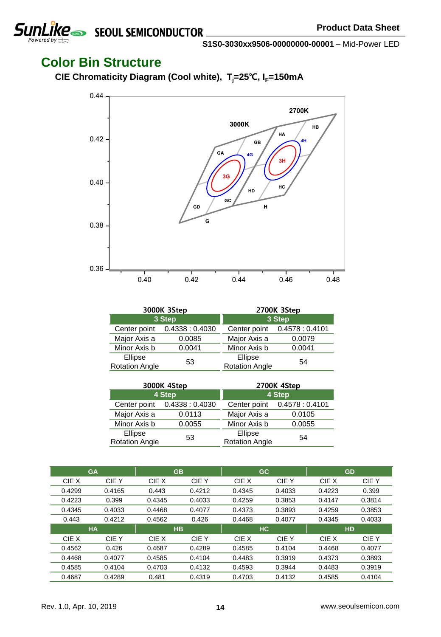

### **Color Bin Structure**

**CIE Chromaticity Diagram (Cool white), Tj=25**℃**, IF=150mA**



|                                  | 3000K 3Step                  | 2700K 3Step                      |                              |  |
|----------------------------------|------------------------------|----------------------------------|------------------------------|--|
| 3 Step                           |                              | 3 Step                           |                              |  |
|                                  | Center point 0.4338 : 0.4030 |                                  | Center point 0.4578 : 0.4101 |  |
| Major Axis a                     | 0.0085                       | Major Axis a                     | 0.0079                       |  |
| Minor Axis b                     | 0.0041                       | Minor Axis b                     | 0.0041                       |  |
| Ellipse<br><b>Rotation Angle</b> | 53                           | Ellipse<br><b>Rotation Angle</b> | 54                           |  |

|                       | 3000K 4Step                  | 2700K 4Step           |                              |  |
|-----------------------|------------------------------|-----------------------|------------------------------|--|
| 4 Step                |                              | 4 Step                |                              |  |
|                       | Center point 0.4338 : 0.4030 |                       | Center point 0.4578 : 0.4101 |  |
| Major Axis a          | 0.0113                       | Major Axis a          | 0.0105                       |  |
| Minor Axis b          | 0.0055                       | Minor Axis b          | 0.0055                       |  |
| Ellipse               | 53                           | Ellipse               | 54                           |  |
| <b>Rotation Angle</b> |                              | <b>Rotation Angle</b> |                              |  |

|        | <b>GA</b> |        | GB        | <b>GC</b> |        | <b>GD</b> |        |
|--------|-----------|--------|-----------|-----------|--------|-----------|--------|
| CIE X  | CIE Y     | CIE X  | CIE Y     | CIE X     | CIE Y  | CIE X     | CIE Y  |
| 0.4299 | 0.4165    | 0.443  | 0.4212    | 0.4345    | 0.4033 | 0.4223    | 0.399  |
| 0.4223 | 0.399     | 0.4345 | 0.4033    | 0.4259    | 0.3853 | 0.4147    | 0.3814 |
| 0.4345 | 0.4033    | 0.4468 | 0.4077    | 0.4373    | 0.3893 | 0.4259    | 0.3853 |
| 0.443  | 0.4212    | 0.4562 | 0.426     | 0.4468    | 0.4077 | 0.4345    | 0.4033 |
|        |           |        |           |           |        |           |        |
|        | <b>HA</b> |        | <b>HB</b> | <b>HC</b> |        | <b>HD</b> |        |
| CIE X  | CIE Y     | CIE X  | CIE Y     | CIE X     | CIE Y  | CIE X     | CIE Y  |
| 0.4562 | 0.426     | 0.4687 | 0.4289    | 0.4585    | 0.4104 | 0.4468    | 0.4077 |
| 0.4468 | 0.4077    | 0.4585 | 0.4104    | 0.4483    | 0.3919 | 0.4373    | 0.3893 |
| 0.4585 | 0.4104    | 0.4703 | 0.4132    | 0.4593    | 0.3944 | 0.4483    | 0.3919 |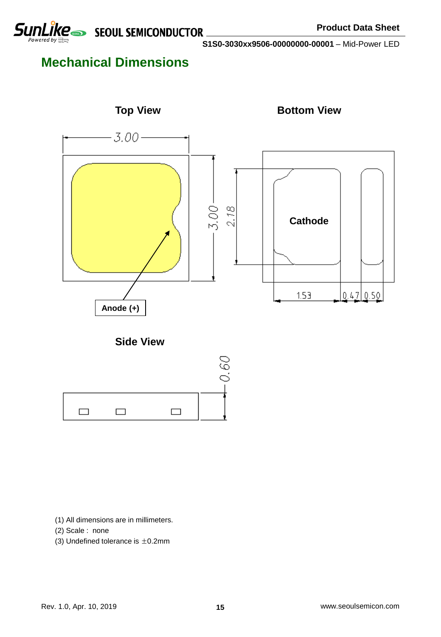

## **Mechanical Dimensions**



### **Side View**



- (1) All dimensions are in millimeters.
- (2) Scale : none
- (3) Undefined tolerance is  $\pm$ 0.2mm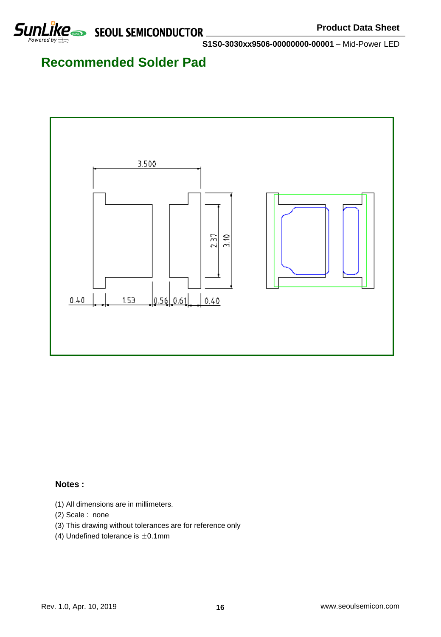## **Recommended Solder Pad**



### **Notes :**

- (1) All dimensions are in millimeters.
- (2) Scale : none
- (3) This drawing without tolerances are for reference only
- (4) Undefined tolerance is  $\pm 0.1$ mm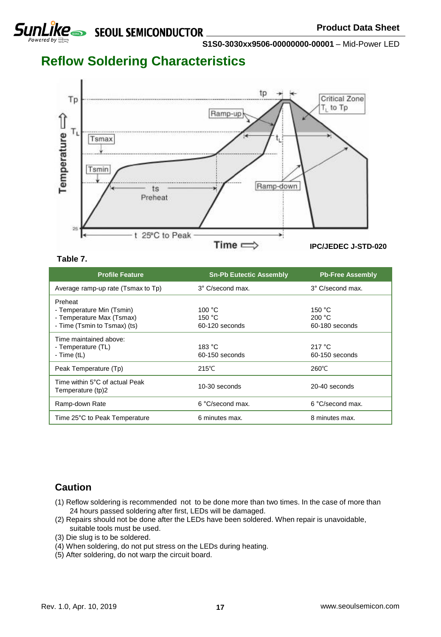

## **Reflow Soldering Characteristics**



### **Table 7.**

| <b>Profile Feature</b>                                                                            | <b>Sn-Pb Eutectic Assembly</b>     | <b>Pb-Free Assembly</b>            |
|---------------------------------------------------------------------------------------------------|------------------------------------|------------------------------------|
| Average ramp-up rate (Tsmax to Tp)                                                                | 3° C/second max.                   | 3° C/second max.                   |
| Preheat<br>- Temperature Min (Tsmin)<br>- Temperature Max (Tsmax)<br>- Time (Tsmin to Tsmax) (ts) | 100 °C<br>150 °C<br>60-120 seconds | 150 °C<br>200 °C<br>60-180 seconds |
| Time maintained above:<br>- Temperature (TL)<br>- Time $(tL)$                                     | 183 °C<br>60-150 seconds           | 217 $\degree$ C<br>60-150 seconds  |
| Peak Temperature (Tp)                                                                             | $215^{\circ}$ C                    | $260^{\circ}$ C                    |
| Time within 5°C of actual Peak<br>Temperature (tp)2                                               | 10-30 seconds                      | 20-40 seconds                      |
| Ramp-down Rate                                                                                    | 6 °C/second max.                   | 6 °C/second max.                   |
| Time 25°C to Peak Temperature                                                                     | 6 minutes max.                     | 8 minutes max.                     |

### **Caution**

- (1) Reflow soldering is recommended not to be done more than two times. In the case of more than 24 hours passed soldering after first, LEDs will be damaged.
- (2) Repairs should not be done after the LEDs have been soldered. When repair is unavoidable, suitable tools must be used.
- (3) Die slug is to be soldered.
- (4) When soldering, do not put stress on the LEDs during heating.
- (5) After soldering, do not warp the circuit board.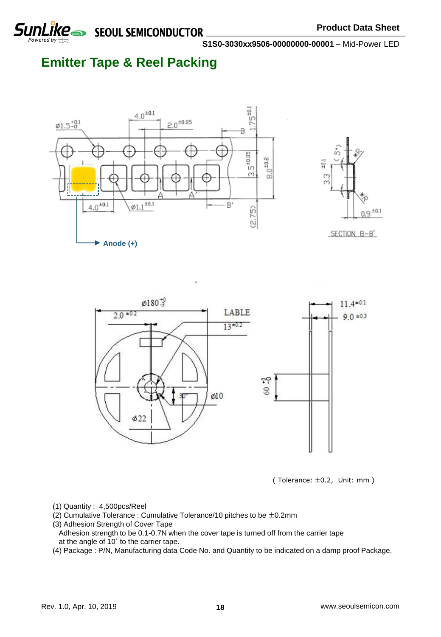

SEOUL SEMICONDUCTOR

**S1S0-3030xx9506-00000000-00001** – Mid-Power LED

## **Emitter Tape & Reel Packing**









- (1) Quantity : 4,500pcs/Reel
- (2) Cumulative Tolerance : Cumulative Tolerance/10 pitches to be ±0.2mm
- (3) Adhesion Strength of Cover Tape
- Adhesion strength to be 0.1-0.7N when the cover tape is turned off from the carrier tape at the angle of 10˚ to the carrier tape.
- (4) Package : P/N, Manufacturing data Code No. and Quantity to be indicated on a damp proof Package.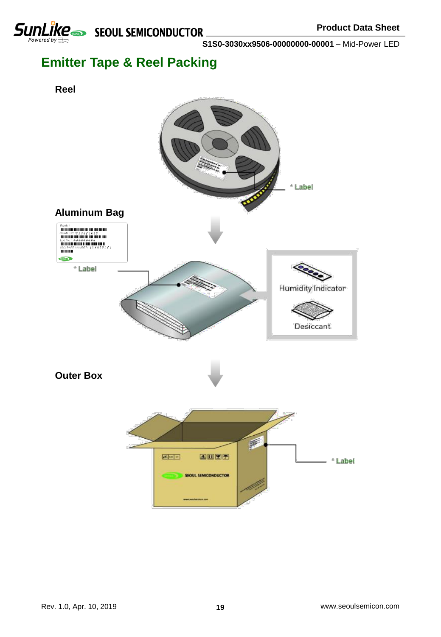

## **Emitter Tape & Reel Packing**

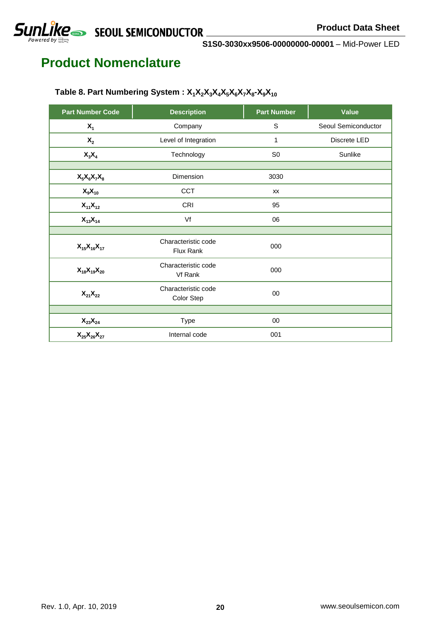# **SUNLIKE** SEQUL SEMICONDUCTOR

**S1S0-3030xx9506-00000000-00001** – Mid-Power LED

## **Product Nomenclature**

| <b>Part Number Code</b>          | <b>Description</b>                | <b>Part Number</b> | Value               |
|----------------------------------|-----------------------------------|--------------------|---------------------|
| $X_1$                            | Company                           | S                  | Seoul Semiconductor |
| $X_{2}$                          | Level of Integration              | 1                  | Discrete LED        |
| $X_3X_4$                         | Technology                        | S <sub>0</sub>     | Sunlike             |
|                                  |                                   |                    |                     |
| $X_5X_6X_7X_8$                   | Dimension                         | 3030               |                     |
| $X_9X_{10}$                      | <b>CCT</b>                        | XX                 |                     |
| $X_{11}X_{12}$                   | <b>CRI</b>                        | 95                 |                     |
| $X_{13}X_{14}$                   | Vf                                | 06                 |                     |
|                                  |                                   |                    |                     |
| $X_{15}X_{16}X_{17}$             | Characteristic code<br>Flux Rank  | 000                |                     |
| $X_{18}X_{19}X_{20}$             | Characteristic code<br>Vf Rank    | 000                |                     |
| $X_{21}X_{22}$                   | Characteristic code<br>Color Step | 00                 |                     |
|                                  |                                   |                    |                     |
| $\mathsf{X}_{23}\mathsf{X}_{24}$ | Type                              | 00                 |                     |
| $X_{25}X_{26}X_{27}$             | Internal code                     | 001                |                     |

### **Table 8. Part Numbering System : X1X2X3X4X5X6X7X<sup>8</sup> -X9X<sup>10</sup>**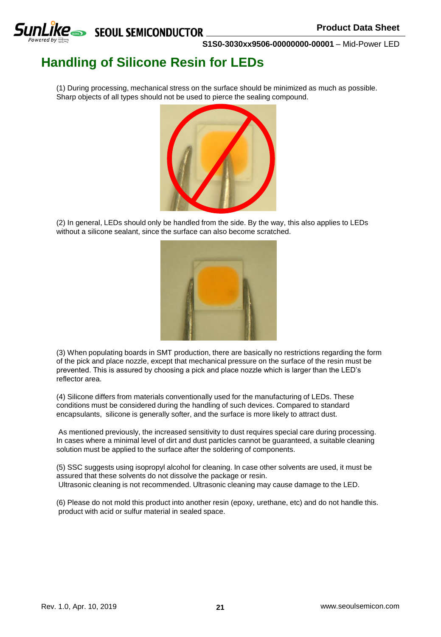

## **Handling of Silicone Resin for LEDs**

(1) During processing, mechanical stress on the surface should be minimized as much as possible. Sharp objects of all types should not be used to pierce the sealing compound.



(2) In general, LEDs should only be handled from the side. By the way, this also applies to LEDs without a silicone sealant, since the surface can also become scratched.



(3) When populating boards in SMT production, there are basically no restrictions regarding the form of the pick and place nozzle, except that mechanical pressure on the surface of the resin must be prevented. This is assured by choosing a pick and place nozzle which is larger than the LED's reflector area.

(4) Silicone differs from materials conventionally used for the manufacturing of LEDs. These conditions must be considered during the handling of such devices. Compared to standard encapsulants, silicone is generally softer, and the surface is more likely to attract dust.

As mentioned previously, the increased sensitivity to dust requires special care during processing. In cases where a minimal level of dirt and dust particles cannot be guaranteed, a suitable cleaning solution must be applied to the surface after the soldering of components.

(5) SSC suggests using isopropyl alcohol for cleaning. In case other solvents are used, it must be assured that these solvents do not dissolve the package or resin. Ultrasonic cleaning is not recommended. Ultrasonic cleaning may cause damage to the LED.

(6) Please do not mold this product into another resin (epoxy, urethane, etc) and do not handle this. product with acid or sulfur material in sealed space.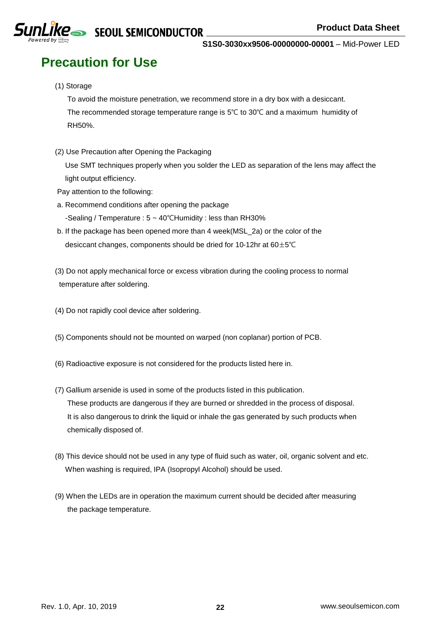# **Precaution for Use**

(1) Storage

To avoid the moisture penetration, we recommend store in a dry box with a desiccant. The recommended storage temperature range is 5℃ to 30℃ and a maximum humidity of RH50%.

(2) Use Precaution after Opening the Packaging

Use SMT techniques properly when you solder the LED as separation of the lens may affect the light output efficiency.

- Pay attention to the following:
- a. Recommend conditions after opening the package -Sealing / Temperature : 5 ~ 40℃Humidity : less than RH30%
- b. If the package has been opened more than 4 week(MSL\_2a) or the color of the desiccant changes, components should be dried for 10-12hr at 60±5℃
- (3) Do not apply mechanical force or excess vibration during the cooling process to normal temperature after soldering.
- (4) Do not rapidly cool device after soldering.
- (5) Components should not be mounted on warped (non coplanar) portion of PCB.
- (6) Radioactive exposure is not considered for the products listed here in.
- (7) Gallium arsenide is used in some of the products listed in this publication. These products are dangerous if they are burned or shredded in the process of disposal. It is also dangerous to drink the liquid or inhale the gas generated by such products when chemically disposed of.
- (8) This device should not be used in any type of fluid such as water, oil, organic solvent and etc. When washing is required, IPA (Isopropyl Alcohol) should be used.
- (9) When the LEDs are in operation the maximum current should be decided after measuring the package temperature.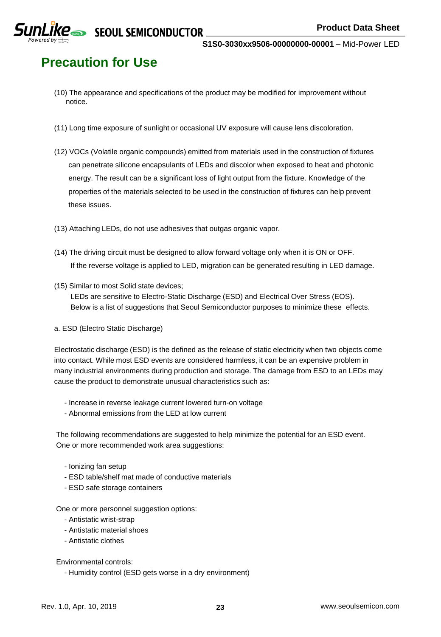**Precaution for Use**

- (10) The appearance and specifications of the product may be modified for improvement without notice.
- (11) Long time exposure of sunlight or occasional UV exposure will cause lens discoloration.
- (12) VOCs (Volatile organic compounds) emitted from materials used in the construction of fixtures can penetrate silicone encapsulants of LEDs and discolor when exposed to heat and photonic energy. The result can be a significant loss of light output from the fixture. Knowledge of the properties of the materials selected to be used in the construction of fixtures can help prevent these issues.
- (13) Attaching LEDs, do not use adhesives that outgas organic vapor.
- (14) The driving circuit must be designed to allow forward voltage only when it is ON or OFF. If the reverse voltage is applied to LED, migration can be generated resulting in LED damage.
- (15) Similar to most Solid state devices;

LEDs are sensitive to Electro-Static Discharge (ESD) and Electrical Over Stress (EOS). Below is a list of suggestions that Seoul Semiconductor purposes to minimize these effects.

a. ESD (Electro Static Discharge)

Electrostatic discharge (ESD) is the defined as the release of static electricity when two objects come into contact. While most ESD events are considered harmless, it can be an expensive problem in many industrial environments during production and storage. The damage from ESD to an LEDs may cause the product to demonstrate unusual characteristics such as:

- Increase in reverse leakage current lowered turn-on voltage
- Abnormal emissions from the LED at low current

The following recommendations are suggested to help minimize the potential for an ESD event. One or more recommended work area suggestions:

- Ionizing fan setup
- ESD table/shelf mat made of conductive materials
- ESD safe storage containers

One or more personnel suggestion options:

- Antistatic wrist-strap
- Antistatic material shoes
- Antistatic clothes

#### Environmental controls:

- Humidity control (ESD gets worse in a dry environment)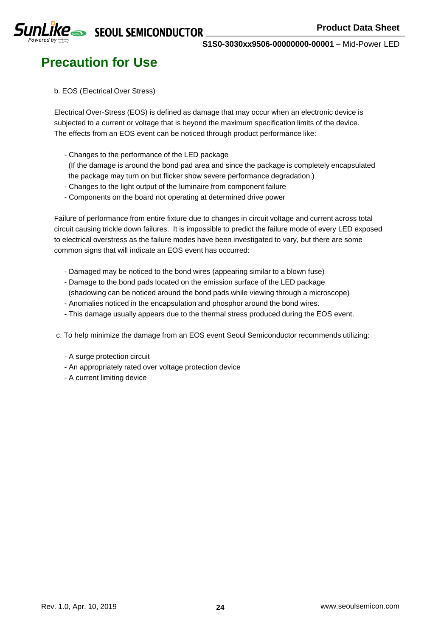

## **Precaution for Use**

#### b. EOS (Electrical Over Stress)

Electrical Over-Stress (EOS) is defined as damage that may occur when an electronic device is subjected to a current or voltage that is beyond the maximum specification limits of the device. The effects from an EOS event can be noticed through product performance like:

- Changes to the performance of the LED package

(If the damage is around the bond pad area and since the package is completely encapsulated the package may turn on but flicker show severe performance degradation.)

- Changes to the light output of the luminaire from component failure
- Components on the board not operating at determined drive power

Failure of performance from entire fixture due to changes in circuit voltage and current across total circuit causing trickle down failures. It is impossible to predict the failure mode of every LED exposed to electrical overstress as the failure modes have been investigated to vary, but there are some common signs that will indicate an EOS event has occurred:

- Damaged may be noticed to the bond wires (appearing similar to a blown fuse)
- Damage to the bond pads located on the emission surface of the LED package
- (shadowing can be noticed around the bond pads while viewing through a microscope)
- Anomalies noticed in the encapsulation and phosphor around the bond wires.
- This damage usually appears due to the thermal stress produced during the EOS event.

c. To help minimize the damage from an EOS event Seoul Semiconductor recommends utilizing:

- A surge protection circuit
- An appropriately rated over voltage protection device
- A current limiting device